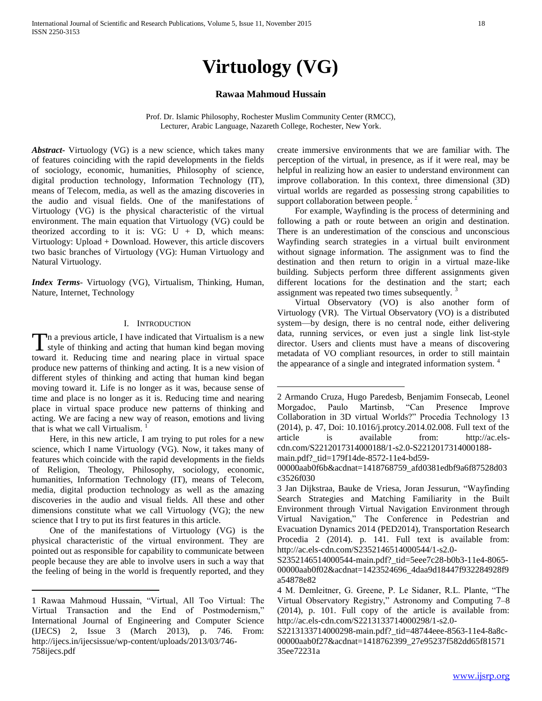# **Virtuology (VG)**

# **Rawaa Mahmoud Hussain**

Prof. Dr. Islamic Philosophy, Rochester Muslim Community Center (RMCC), Lecturer, Arabic Language, Nazareth College, Rochester, New York.

 $\overline{a}$ 

*Abstract***-** Virtuology (VG) is a new science, which takes many of features coinciding with the rapid developments in the fields of sociology, economic, humanities, Philosophy of science, digital production technology, Information Technology (IT), means of Telecom, media, as well as the amazing discoveries in the audio and visual fields. One of the manifestations of Virtuology (VG) is the physical characteristic of the virtual environment. The main equation that Virtuology (VG) could be theorized according to it is:  $VG: U + D$ , which means: Virtuology: Upload + Download. However, this article discovers two basic branches of Virtuology (VG): Human Virtuology and Natural Virtuology.

*Index Terms*- Virtuology (VG), Virtualism, Thinking, Human, Nature, Internet, Technology

#### I. INTRODUCTION

n a previous article, I have indicated that Virtualism is a new The a previous article, I have indicated that Virtualism is a new style of thinking and acting that human kind began moving toward it. Reducing time and nearing place in virtual space produce new patterns of thinking and acting. It is a new vision of different styles of thinking and acting that human kind began moving toward it. Life is no longer as it was, because sense of time and place is no longer as it is. Reducing time and nearing place in virtual space produce new patterns of thinking and acting. We are facing a new way of reason, emotions and living that is what we call Virtualism. <sup>1</sup>

 Here, in this new article, I am trying to put roles for a new science, which I name Virtuology (VG). Now, it takes many of features which coincide with the rapid developments in the fields of Religion, Theology, Philosophy, sociology, economic, humanities, Information Technology (IT), means of Telecom, media, digital production technology as well as the amazing discoveries in the audio and visual fields. All these and other dimensions constitute what we call Virtuology (VG); the new science that I try to put its first features in this article.

 One of the manifestations of Virtuology (VG) is the physical characteristic of the virtual environment. They are pointed out as responsible for capability to communicate between people because they are able to involve users in such a way that the feeling of being in the world is frequently reported, and they

 $\overline{a}$ 

create immersive environments that we are familiar with. The perception of the virtual, in presence, as if it were real, may be helpful in realizing how an easier to understand environment can improve collaboration. In this context, three dimensional (3D) virtual worlds are regarded as possessing strong capabilities to support collaboration between people.<sup>2</sup>

 For example, Wayfinding is the process of determining and following a path or route between an origin and destination. There is an underestimation of the conscious and unconscious Wayfinding search strategies in a virtual built environment without signage information. The assignment was to find the destination and then return to origin in a virtual maze-like building. Subjects perform three different assignments given different locations for the destination and the start; each assignment was repeated two times subsequently.<sup>3</sup>

 Virtual Observatory (VO) is also another form of Virtuology (VR). The Virtual Observatory (VO) is a distributed system—by design, there is no central node, either delivering data, running services, or even just a single link list-style director. Users and clients must have a means of discovering metadata of VO compliant resources, in order to still maintain the appearance of a single and integrated information system.<sup>4</sup>

[main.pdf?\\_tid=179f14de-8572-11e4-bd59-](http://ac.els-cdn.com/S2212017314000188/1-s2.0-S2212017314000188-main.pdf?_tid=179f14de-8572-11e4-bd59-00000aab0f6b&acdnat=1418768759_afd0381edbf9a6f87528d03c3526f030)

<sup>1</sup> Rawaa Mahmoud Hussain, "Virtual, All Too Virtual: The Virtual Transaction and the End of Postmodernism," International Journal of Engineering and Computer Science (IJECS) 2, Issue 3 (March 2013), p. 746. From: [http://ijecs.in/ijecsissue/wp-content/uploads/2013/03/746-](http://ijecs.in/ijecsissue/wp-content/uploads/2013/03/746-758ijecs.pdf) [758ijecs.pdf](http://ijecs.in/ijecsissue/wp-content/uploads/2013/03/746-758ijecs.pdf)

<sup>2</sup> Armando Cruza, Hugo Paredesb, Benjamim Fonsecab, Leonel Morgadoc, Paulo Martinsb, "Can Presence Improve Collaboration in 3D virtual Worlds?" Procedia Technology 13 (2014), p. 47, Doi: 10.1016/j.protcy.2014.02.008. Full text of the article is available from: [http://ac.els](http://ac.els-cdn.com/S2212017314000188/1-s2.0-S2212017314000188-main.pdf?_tid=179f14de-8572-11e4-bd59-00000aab0f6b&acdnat=1418768759_afd0381edbf9a6f87528d03c3526f030)[cdn.com/S2212017314000188/1-s2.0-S2212017314000188-](http://ac.els-cdn.com/S2212017314000188/1-s2.0-S2212017314000188-main.pdf?_tid=179f14de-8572-11e4-bd59-00000aab0f6b&acdnat=1418768759_afd0381edbf9a6f87528d03c3526f030)

[<sup>00000</sup>aab0f6b&acdnat=1418768759\\_afd0381edbf9a6f87528d03](http://ac.els-cdn.com/S2212017314000188/1-s2.0-S2212017314000188-main.pdf?_tid=179f14de-8572-11e4-bd59-00000aab0f6b&acdnat=1418768759_afd0381edbf9a6f87528d03c3526f030) [c3526f030](http://ac.els-cdn.com/S2212017314000188/1-s2.0-S2212017314000188-main.pdf?_tid=179f14de-8572-11e4-bd59-00000aab0f6b&acdnat=1418768759_afd0381edbf9a6f87528d03c3526f030)

<sup>3</sup> Jan Dijkstraa, Bauke de Vriesa, Joran Jessurun, "Wayfinding Search Strategies and Matching Familiarity in the Built Environment through Virtual Navigation Environment through Virtual Navigation," The Conference in Pedestrian and Evacuation Dynamics 2014 (PED2014), Transportation Research Procedia 2 (2014). p. 141. Full text is available from: [http://ac.els-cdn.com/S2352146514000544/1-s2.0-](http://ac.els-cdn.com/S2352146514000544/1-s2.0-S2352146514000544-main.pdf?_tid=5eee7c28-b0b3-11e4-8065-00000aab0f02&acdnat=1423524696_4daa9d18447f932284928f9a54878e82)

[S2352146514000544-main.pdf?\\_tid=5eee7c28-b0b3-11e4-8065-](http://ac.els-cdn.com/S2352146514000544/1-s2.0-S2352146514000544-main.pdf?_tid=5eee7c28-b0b3-11e4-8065-00000aab0f02&acdnat=1423524696_4daa9d18447f932284928f9a54878e82) [00000aab0f02&acdnat=1423524696\\_4daa9d18447f932284928f9](http://ac.els-cdn.com/S2352146514000544/1-s2.0-S2352146514000544-main.pdf?_tid=5eee7c28-b0b3-11e4-8065-00000aab0f02&acdnat=1423524696_4daa9d18447f932284928f9a54878e82) [a54878e82](http://ac.els-cdn.com/S2352146514000544/1-s2.0-S2352146514000544-main.pdf?_tid=5eee7c28-b0b3-11e4-8065-00000aab0f02&acdnat=1423524696_4daa9d18447f932284928f9a54878e82)

<sup>4</sup> M. Demleitner, G. Greene, P. Le Sidaner, R.L. Plante, "The Virtual Observatory Registry," Astronomy and Computing 7–8 (2014), p. 101. Full copy of the article is available from: [http://ac.els-cdn.com/S2213133714000298/1-s2.0-](http://ac.els-cdn.com/S2213133714000298/1-s2.0-S2213133714000298-main.pdf?_tid=48744eee-8563-11e4-8a8c-00000aab0f27&acdnat=1418762399_27e95237f582dd65f8157135ee72231a)

[S2213133714000298-main.pdf?\\_tid=48744eee-8563-11e4-8a8c-](http://ac.els-cdn.com/S2213133714000298/1-s2.0-S2213133714000298-main.pdf?_tid=48744eee-8563-11e4-8a8c-00000aab0f27&acdnat=1418762399_27e95237f582dd65f8157135ee72231a)[00000aab0f27&acdnat=1418762399\\_27e95237f582dd65f81571](http://ac.els-cdn.com/S2213133714000298/1-s2.0-S2213133714000298-main.pdf?_tid=48744eee-8563-11e4-8a8c-00000aab0f27&acdnat=1418762399_27e95237f582dd65f8157135ee72231a) [35ee72231a](http://ac.els-cdn.com/S2213133714000298/1-s2.0-S2213133714000298-main.pdf?_tid=48744eee-8563-11e4-8a8c-00000aab0f27&acdnat=1418762399_27e95237f582dd65f8157135ee72231a)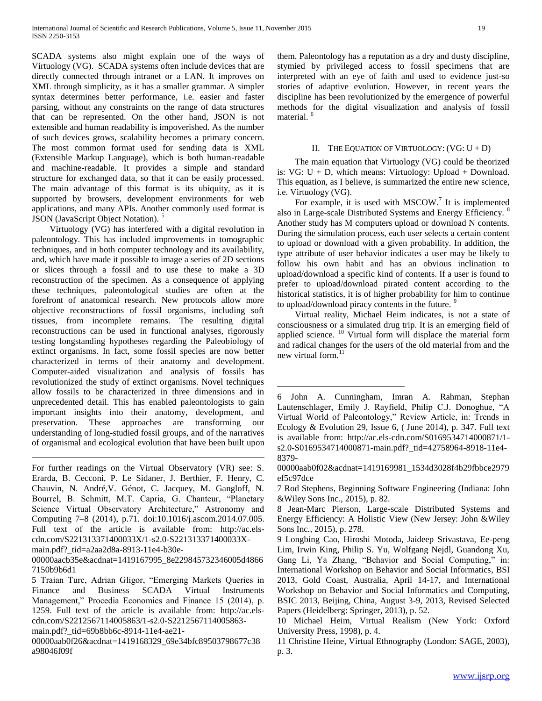SCADA systems also might explain one of the ways of Virtuology (VG). SCADA systems often include devices that are directly connected through intranet or a LAN. It improves on XML through simplicity, as it has a smaller grammar. A simpler syntax determines better performance, i.e. easier and faster parsing, without any constraints on the range of data structures that can be represented. On the other hand, JSON is not extensible and human readability is impoverished. As the number of such devices grows, scalability becomes a primary concern. The most common format used for sending data is XML (Extensible Markup Language), which is both human-readable and machine-readable. It provides a simple and standard structure for exchanged data, so that it can be easily processed. The main advantage of this format is its ubiquity, as it is supported by browsers, development environments for web applications, and many APIs. Another commonly used format is JSON (JavaScript Object Notation). <sup>5</sup>

 Virtuology (VG) has interfered with a digital revolution in paleontology. This has included improvements in tomographic techniques, and in both computer technology and its availability, and, which have made it possible to image a series of 2D sections or slices through a fossil and to use these to make a 3D reconstruction of the specimen. As a consequence of applying these techniques, paleontological studies are often at the forefront of anatomical research. New protocols allow more objective reconstructions of fossil organisms, including soft tissues, from incomplete remains. The resulting digital reconstructions can be used in functional analyses, rigorously testing longstanding hypotheses regarding the Paleobiology of extinct organisms. In fact, some fossil species are now better characterized in terms of their anatomy and development. Computer-aided visualization and analysis of fossils has revolutionized the study of extinct organisms. Novel techniques allow fossils to be characterized in three dimensions and in unprecedented detail. This has enabled paleontologists to gain important insights into their anatomy, development, and preservation. These approaches are transforming our understanding of long-studied fossil groups, and of the narratives of organismal and ecological evolution that have been built upon

For further readings on the Virtual Observatory (VR) see: S. Erarda, B. Cecconi, P. Le Sidaner, J. Berthier, F. Henry, C. Chauvin, N. André,V. Génot, C. Jacquey, M. Gangloff, N. Bourrel, B. Schmitt, M.T. Capria, G. Chanteur, "Planetary Science Virtual Observatory Architecture," Astronomy and Computing 7–8 (2014), p.71. doi:10.1016/j.ascom.2014.07.005. Full text of the article is available from: [http://ac.els](http://ac.els-cdn.com/S221313371400033X/1-s2.0-S221313371400033X-main.pdf?_tid=a2aa2d8a-8913-11e4-b30e-00000aacb35e&acdnat=1419167995_8e229845732346005d48667150b9b6d1)[cdn.com/S221313371400033X/1-s2.0-S221313371400033X](http://ac.els-cdn.com/S221313371400033X/1-s2.0-S221313371400033X-main.pdf?_tid=a2aa2d8a-8913-11e4-b30e-00000aacb35e&acdnat=1419167995_8e229845732346005d48667150b9b6d1)[main.pdf?\\_tid=a2aa2d8a-8913-11e4-b30e-](http://ac.els-cdn.com/S221313371400033X/1-s2.0-S221313371400033X-main.pdf?_tid=a2aa2d8a-8913-11e4-b30e-00000aacb35e&acdnat=1419167995_8e229845732346005d48667150b9b6d1)

[00000aacb35e&acdnat=1419167995\\_8e229845732346005d4866](http://ac.els-cdn.com/S221313371400033X/1-s2.0-S221313371400033X-main.pdf?_tid=a2aa2d8a-8913-11e4-b30e-00000aacb35e&acdnat=1419167995_8e229845732346005d48667150b9b6d1) [7150b9b6d1](http://ac.els-cdn.com/S221313371400033X/1-s2.0-S221313371400033X-main.pdf?_tid=a2aa2d8a-8913-11e4-b30e-00000aacb35e&acdnat=1419167995_8e229845732346005d48667150b9b6d1) 

5 Traian Turc, Adrian Gligor, "Emerging Markets Queries in Finance and Business SCADA Virtual Instruments Management," Procedia Economics and Finance 15 (2014), p. 1259. Full text of the article is available from: [http://ac.els](http://ac.els-cdn.com/S2212567114005863/1-s2.0-S2212567114005863-main.pdf?_tid=69b8bb6c-8914-11e4-ae21-00000aab0f26&acdnat=1419168329_69e34bfc89503798677c38a98046f09f)[cdn.com/S2212567114005863/1-s2.0-S2212567114005863-](http://ac.els-cdn.com/S2212567114005863/1-s2.0-S2212567114005863-main.pdf?_tid=69b8bb6c-8914-11e4-ae21-00000aab0f26&acdnat=1419168329_69e34bfc89503798677c38a98046f09f)

[main.pdf?\\_tid=69b8bb6c-8914-11e4-ae21-](http://ac.els-cdn.com/S2212567114005863/1-s2.0-S2212567114005863-main.pdf?_tid=69b8bb6c-8914-11e4-ae21-00000aab0f26&acdnat=1419168329_69e34bfc89503798677c38a98046f09f)

 $\overline{a}$ 

[00000aab0f26&acdnat=1419168329\\_69e34bfc89503798677c38](http://ac.els-cdn.com/S2212567114005863/1-s2.0-S2212567114005863-main.pdf?_tid=69b8bb6c-8914-11e4-ae21-00000aab0f26&acdnat=1419168329_69e34bfc89503798677c38a98046f09f) [a98046f09f](http://ac.els-cdn.com/S2212567114005863/1-s2.0-S2212567114005863-main.pdf?_tid=69b8bb6c-8914-11e4-ae21-00000aab0f26&acdnat=1419168329_69e34bfc89503798677c38a98046f09f)

them. Paleontology has a reputation as a dry and dusty discipline, stymied by privileged access to fossil specimens that are interpreted with an eye of faith and used to evidence just-so stories of adaptive evolution. However, in recent years the discipline has been revolutionized by the emergence of powerful methods for the digital visualization and analysis of fossil material.<sup>6</sup>

## II. THE EQUATION OF VIRTUOLOGY:  $(VG: U + D)$

 The main equation that Virtuology (VG) could be theorized is:  $VG: U + D$ , which means: Virtuology: Upload + Download. This equation, as I believe, is summarized the entire new science, i.e. Virtuology (VG).

For example, it is used with  $MSCOW$ .<sup>7</sup> It is implemented also in Large-scale Distributed Systems and Energy Efficiency. <sup>8</sup> Another study has M computers upload or download N contents. During the simulation process, each user selects a certain content to upload or download with a given probability. In addition, the type attribute of user behavior indicates a user may be likely to follow his own habit and has an obvious inclination to upload/download a specific kind of contents. If a user is found to prefer to upload/download pirated content according to the historical statistics, it is of higher probability for him to continue to upload/download piracy contents in the future.<sup>9</sup>

 Virtual reality, Michael Heim indicates, is not a state of consciousness or a simulated drug trip. It is an emerging field of applied science. <sup>10</sup> Virtual form will displace the material form and radical changes for the users of the old material from and the new virtual form.<sup>11</sup>

 $\overline{a}$ 

[00000aab0f02&acdnat=1419169981\\_1534d3028f4b29fbbce2979](http://ac.els-cdn.com/S0169534714000871/1-s2.0-S0169534714000871-main.pdf?_tid=42758964-8918-11e4-8379-00000aab0f02&acdnat=1419169981_1534d3028f4b29fbbce2979ef5c97dce) [ef5c97dce](http://ac.els-cdn.com/S0169534714000871/1-s2.0-S0169534714000871-main.pdf?_tid=42758964-8918-11e4-8379-00000aab0f02&acdnat=1419169981_1534d3028f4b29fbbce2979ef5c97dce)

7 Rod Stephens, Beginning Software Engineering (Indiana: John &Wiley Sons Inc., 2015), p. 82.

8 Jean-Marc Pierson, Large-scale Distributed Systems and Energy Efficiency: A Holistic View (New Jersey: John &Wiley Sons Inc., 2015), p. 278.

9 Longbing Cao, Hiroshi Motoda, Jaideep Srivastava, Ee-peng Lim, Irwin King, Philip S. Yu, Wolfgang Nejdl, Guandong Xu, Gang Li, Ya Zhang, "Behavior and Social Computing," in: International Workshop on Behavior and Social Informatics, BSI 2013, Gold Coast, Australia, April 14-17, and International Workshop on Behavior and Social Informatics and Computing, BSIC 2013, Beijing, China, August 3-9, 2013, Revised Selected Papers (Heidelberg: Springer, 2013), p. 52.

10 Michael Heim, Virtual Realism (New York: Oxford University Press, 1998), p. 4.

11 Christine Heine, Virtual Ethnography (London: SAGE, 2003), p. 3.

<sup>6</sup> John A. Cunningham, Imran A. Rahman, Stephan Lautenschlager, Emily J. Rayfield, Philip C.J. Donoghue, "A Virtual World of Paleontology," Review Article, in: Trends in Ecology & Evolution 29, Issue 6, ( June 2014), p. 347. Full text is available from: [http://ac.els-cdn.com/S0169534714000871/1](http://ac.els-cdn.com/S0169534714000871/1-s2.0-S0169534714000871-main.pdf?_tid=42758964-8918-11e4-8379-00000aab0f02&acdnat=1419169981_1534d3028f4b29fbbce2979ef5c97dce) [s2.0-S0169534714000871-main.pdf?\\_tid=42758964-8918-11e4-](http://ac.els-cdn.com/S0169534714000871/1-s2.0-S0169534714000871-main.pdf?_tid=42758964-8918-11e4-8379-00000aab0f02&acdnat=1419169981_1534d3028f4b29fbbce2979ef5c97dce) [8379-](http://ac.els-cdn.com/S0169534714000871/1-s2.0-S0169534714000871-main.pdf?_tid=42758964-8918-11e4-8379-00000aab0f02&acdnat=1419169981_1534d3028f4b29fbbce2979ef5c97dce)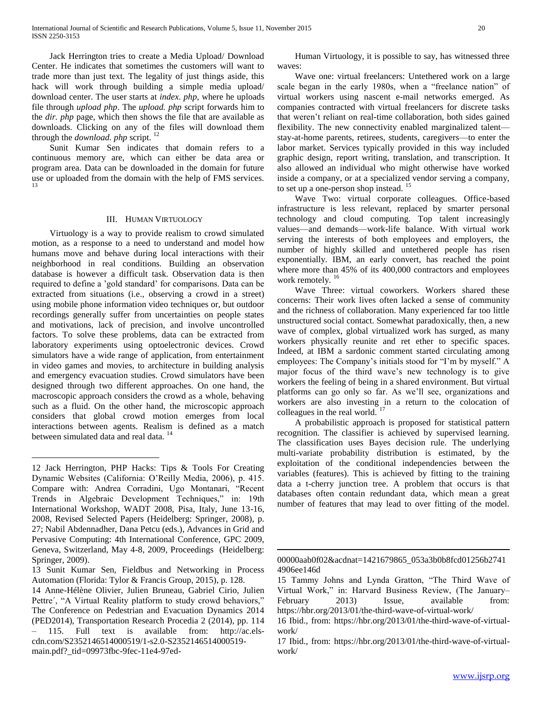Jack Herrington tries to create a Media Upload/ Download Center. He indicates that sometimes the customers will want to trade more than just text. The legality of just things aside, this hack will work through building a simple media upload/ download center. The user starts at *index. php*, where he uploads file through *upload php*. The *upload. php* script forwards him to the *dir. php* page, which then shows the file that are available as downloads. Clicking on any of the files will download them through the *download. php* script. <sup>12</sup>

 Sunit Kumar Sen indicates that domain refers to a continuous memory are, which can either be data area or program area. Data can be downloaded in the domain for future use or uploaded from the domain with the help of FMS services. 13

#### III. HUMAN VIRTUOLOGY

 Virtuology is a way to provide realism to crowd simulated motion, as a response to a need to understand and model how humans move and behave during local interactions with their neighborhood in real conditions. Building an observation database is however a difficult task. Observation data is then required to define a 'gold standard' for comparisons. Data can be extracted from situations (i.e., observing a crowd in a street) using mobile phone information video techniques or, but outdoor recordings generally suffer from uncertainties on people states and motivations, lack of precision, and involve uncontrolled factors. To solve these problems, data can be extracted from laboratory experiments using optoelectronic devices. Crowd simulators have a wide range of application, from entertainment in video games and movies, to architecture in building analysis and emergency evacuation studies. Crowd simulators have been designed through two different approaches. On one hand, the macroscopic approach considers the crowd as a whole, behaving such as a fluid. On the other hand, the microscopic approach considers that global crowd motion emerges from local interactions between agents. Realism is defined as a match between simulated data and real data.<sup>14</sup>

 $\overline{a}$ 

 Human Virtuology, it is possible to say, has witnessed three waves:

 Wave one: virtual freelancers: Untethered work on a large scale began in the early 1980s, when a "freelance nation" of virtual workers using nascent e-mail networks emerged. As companies contracted with virtual freelancers for discrete tasks that weren't reliant on real-time collaboration, both sides gained flexibility. The new connectivity enabled marginalized talent stay-at-home parents, retirees, students, caregivers—to enter the labor market. Services typically provided in this way included graphic design, report writing, translation, and transcription. It also allowed an individual who might otherwise have worked inside a company, or at a specialized vendor serving a company, to set up a one-person shop instead.<sup>15</sup>

 Wave Two: virtual corporate colleagues. Office-based infrastructure is less relevant, replaced by smarter personal technology and cloud computing. Top talent increasingly values—and demands—work-life balance. With virtual work serving the interests of both employees and employers, the number of highly skilled and untethered people has risen exponentially. IBM, an early convert, has reached the point where more than 45% of its 400,000 contractors and employees work remotely. <sup>16</sup>

 Wave Three: virtual coworkers. Workers shared these concerns: Their work lives often lacked a sense of community and the richness of collaboration. Many experienced far too little unstructured social contact. Somewhat paradoxically, then, a new wave of complex, global virtualized work has surged, as many workers physically reunite and ret ether to specific spaces. Indeed, at IBM a sardonic comment started circulating among employees: The Company's initials stood for "I'm by myself." A major focus of the third wave's new technology is to give workers the feeling of being in a shared environment. But virtual platforms can go only so far. As we'll see, organizations and workers are also investing in a return to the colocation of colleagues in the real world.

 A probabilistic approach is proposed for statistical pattern recognition. The classifier is achieved by supervised learning. The classification uses Bayes decision rule. The underlying multi-variate probability distribution is estimated, by the exploitation of the conditional independencies between the variables (features). This is achieved by fitting to the training data a t-cherry junction tree. A problem that occurs is that databases often contain redundant data, which mean a great number of features that may lead to over fitting of the model.

 $\overline{a}$ 

<sup>12</sup> Jack Herrington, PHP Hacks: Tips & Tools For Creating Dynamic Websites (California: O'Reilly Media, 2006), p. 415. Compare with: Andrea Corradini, Ugo Montanari, "Recent Trends in Algebraic Development Techniques," in: 19th International Workshop, WADT 2008, Pisa, Italy, June 13-16, 2008, Revised Selected Papers (Heidelberg: Springer, 2008), p. 27; Nabil Abdennadher, Dana Petcu (eds.), Advances in Grid and Pervasive Computing: 4th International Conference, GPC 2009, Geneva, Switzerland, May 4-8, 2009, Proceedings (Heidelberg: Springer, 2009).

<sup>13</sup> Sunit Kumar Sen, Fieldbus and Networking in Process Automation (Florida: Tylor & Francis Group, 2015), p. 128.

<sup>14</sup> Anne-Hélène Olivier, Julien Bruneau, Gabriel Cirio, Julien Pettre´, "A Virtual Reality platform to study crowd behaviors," The Conference on Pedestrian and Evacuation Dynamics 2014 (PED2014), Transportation Research Procedia 2 (2014), pp. 114 – 115. Full text is available from: [http://ac.els](http://ac.els-cdn.com/S2352146514000519/1-s2.0-S2352146514000519-main.pdf?_tid=09973fbc-9fec-11e4-97ed-00000aab0f02&acdnat=1421679865_053a3b0b8fcd01256b27414906ee146d)[cdn.com/S2352146514000519/1-s2.0-S2352146514000519](http://ac.els-cdn.com/S2352146514000519/1-s2.0-S2352146514000519-main.pdf?_tid=09973fbc-9fec-11e4-97ed-00000aab0f02&acdnat=1421679865_053a3b0b8fcd01256b27414906ee146d) [main.pdf?\\_tid=09973fbc-9fec-11e4-97ed-](http://ac.els-cdn.com/S2352146514000519/1-s2.0-S2352146514000519-main.pdf?_tid=09973fbc-9fec-11e4-97ed-00000aab0f02&acdnat=1421679865_053a3b0b8fcd01256b27414906ee146d)

[<sup>00000</sup>aab0f02&acdnat=1421679865\\_053a3b0b8fcd01256b2741](http://ac.els-cdn.com/S2352146514000519/1-s2.0-S2352146514000519-main.pdf?_tid=09973fbc-9fec-11e4-97ed-00000aab0f02&acdnat=1421679865_053a3b0b8fcd01256b27414906ee146d) [4906ee146d](http://ac.els-cdn.com/S2352146514000519/1-s2.0-S2352146514000519-main.pdf?_tid=09973fbc-9fec-11e4-97ed-00000aab0f02&acdnat=1421679865_053a3b0b8fcd01256b27414906ee146d)

<sup>15</sup> Tammy Johns and Lynda Gratton, "The Third Wave of Virtual Work," in: Harvard Business Review, (The January– February 2013) Issue, available from: <https://hbr.org/2013/01/the-third-wave-of-virtual-work/>

<sup>16</sup> Ibid., from: [https://hbr.org/2013/01/the-third-wave-of-virtual](https://hbr.org/2013/01/the-third-wave-of-virtual-work/)[work/](https://hbr.org/2013/01/the-third-wave-of-virtual-work/)

<sup>17</sup> Ibid., from: [https://hbr.org/2013/01/the-third-wave-of-virtual](https://hbr.org/2013/01/the-third-wave-of-virtual-work/)[work/](https://hbr.org/2013/01/the-third-wave-of-virtual-work/)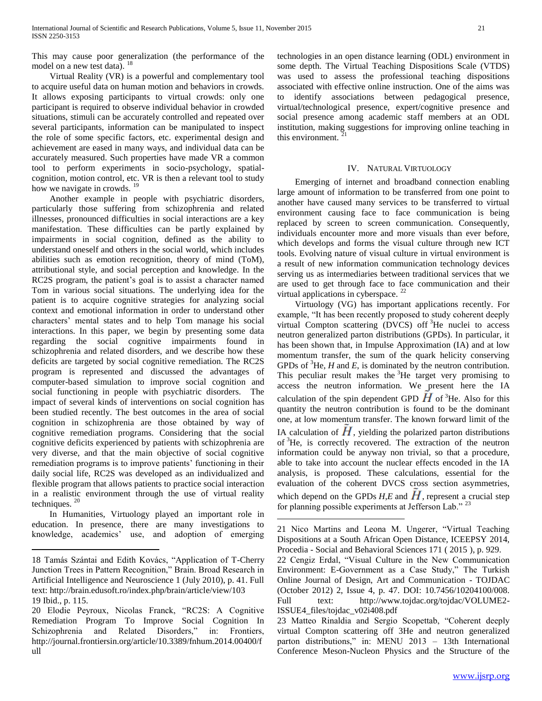This may cause poor generalization (the performance of the model on a new test data). <sup>18</sup>

 Virtual Reality (VR) is a powerful and complementary tool to acquire useful data on human motion and behaviors in crowds. It allows exposing participants to virtual crowds: only one participant is required to observe individual behavior in crowded situations, stimuli can be accurately controlled and repeated over several participants, information can be manipulated to inspect the role of some specific factors, etc. experimental design and achievement are eased in many ways, and individual data can be accurately measured. Such properties have made VR a common tool to perform experiments in socio-psychology, spatialcognition, motion control, etc. VR is then a relevant tool to study how we navigate in crowds. <sup>19</sup>

 Another example in people with psychiatric disorders, particularly those suffering from schizophrenia and related illnesses, pronounced difficulties in social interactions are a key manifestation. These difficulties can be partly explained by impairments in social cognition, defined as the ability to understand oneself and others in the social world, which includes abilities such as emotion recognition, theory of mind (ToM), attributional style, and social perception and knowledge. In the RC2S program, the patient's goal is to assist a character named Tom in various social situations. The underlying idea for the patient is to acquire cognitive strategies for analyzing social context and emotional information in order to understand other characters' mental states and to help Tom manage his social interactions. In this paper, we begin by presenting some data regarding the social cognitive impairments found in schizophrenia and related disorders, and we describe how these deficits are targeted by social cognitive remediation. The RC2S program is represented and discussed the advantages of computer-based simulation to improve social cognition and social functioning in people with psychiatric disorders. The impact of several kinds of interventions on social cognition has been studied recently. The best outcomes in the area of social cognition in schizophrenia are those obtained by way of cognitive remediation programs. Considering that the social cognitive deficits experienced by patients with schizophrenia are very diverse, and that the main objective of social cognitive remediation programs is to improve patients' functioning in their daily social life, RC2S was developed as an individualized and flexible program that allows patients to practice social interaction in a realistic environment through the use of virtual reality techniques.  $20$ 

 In Humanities, Virtuology played an important role in education. In presence, there are many investigations to knowledge, academics' use, and adoption of emerging

 $\overline{a}$ 

technologies in an open distance learning (ODL) environment in some depth. The Virtual Teaching Dispositions Scale (VTDS) was used to assess the professional teaching dispositions associated with effective online instruction. One of the aims was to identify associations between pedagogical presence, virtual/technological presence, expert/cognitive presence and social presence among academic staff members at an ODL institution, making suggestions for improving online teaching in this environment.

## IV. NATURAL VIRTUOLOGY

 Emerging of internet and broadband connection enabling large amount of information to be transferred from one point to another have caused many services to be transferred to virtual environment causing face to face communication is being replaced by screen to screen communication. Consequently, individuals encounter more and more visuals than ever before, which develops and forms the visual culture through new ICT tools. Evolving nature of visual culture in virtual environment is a result of new information communication technology devices serving us as intermediaries between traditional services that we are used to get through face to face communication and their virtual applications in cyberspace. <sup>22</sup>

 Virtuology (VG) has important applications recently. For example, "It has been recently proposed to study coherent deeply virtual Compton scattering (DVCS) of  $3$ He nuclei to access neutron generalized parton distributions (GPDs). In particular, it has been shown that, in Impulse Approximation (IA) and at low momentum transfer, the sum of the quark helicity conserving GPDs of  ${}^{3}$ He, *H* and *E*, is dominated by the neutron contribution. This peculiar result makes the  ${}^{3}$ He target very promising to access the neutron information. We present here the IA calculation of the spin dependent GPD  $H$  of <sup>3</sup>He. Also for this quantity the neutron contribution is found to be the dominant one, at low momentum transfer. The known forward limit of the IA calculation of  $H$ , yielding the polarized parton distributions of <sup>3</sup>He, is correctly recovered. The extraction of the neutron information could be anyway non trivial, so that a procedure, able to take into account the nuclear effects encoded in the IA analysis, is proposed. These calculations, essential for the evaluation of the coherent DVCS cross section asymmetries, which depend on the GPDs  $H$ ,*E* and  $H$ , represent a crucial step for planning possible experiments at Jefferson Lab."<sup>23</sup>

 $\overline{a}$ 

<sup>18</sup> Tamás Szántai and Edith Kovács, "Application of T-Cherry Junction Trees in Pattern Recognition," Brain. Broad Research in Artificial Intelligence and Neuroscience 1 (July 2010), p. 41. Full text:<http://brain.edusoft.ro/index.php/brain/article/view/103> 19 Ibid., p. 115.

<sup>20</sup> Elodie Peyroux, Nicolas Franck, "RC2S: A Cognitive Remediation Program To Improve Social Cognition In Schizophrenia and Related Disorders," in: Frontiers, [http://journal.frontiersin.org/article/10.3389/fnhum.2014.00400/f](http://journal.frontiersin.org/article/10.3389/fnhum.2014.00400/full) [ull](http://journal.frontiersin.org/article/10.3389/fnhum.2014.00400/full) 

<sup>21</sup> Nico Martins and Leona M. Ungerer, "Virtual Teaching Dispositions at a South African Open Distance, ICEEPSY 2014, Procedia - Social and Behavioral Sciences 171 ( 2015 ), p. 929.

<sup>22</sup> Cengiz Erdal, "Visual Culture in the New Communication Environment: E-Government as a Case Study," The Turkish Online Journal of Design, Art and Communication - TOJDAC (October 2012) 2, Issue 4, p. 47. DOI: 10.7456/10204100/008. Full text: [http://www.tojdac.org/tojdac/VOLUME2-](http://www.tojdac.org/tojdac/VOLUME2-ISSUE4_files/tojdac_v02i408.pdf) [ISSUE4\\_files/tojdac\\_v02i408.pdf](http://www.tojdac.org/tojdac/VOLUME2-ISSUE4_files/tojdac_v02i408.pdf) 

<sup>23</sup> Matteo Rinaldia and Sergio Scopettab, "Coherent deeply virtual Compton scattering off 3He and neutron generalized parton distributions," in: MENU 2013 – 13th International Conference Meson-Nucleon Physics and the Structure of the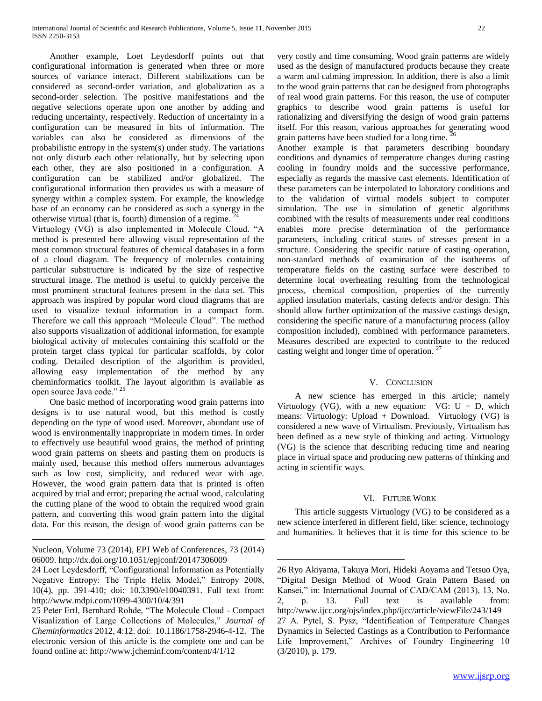Another example, Loet Leydesdorff points out that configurational information is generated when three or more sources of variance interact. Different stabilizations can be considered as second-order variation, and globalization as a second-order selection. The positive manifestations and the negative selections operate upon one another by adding and reducing uncertainty, respectively. Reduction of uncertainty in a configuration can be measured in bits of information. The variables can also be considered as dimensions of the probabilistic entropy in the system(s) under study. The variations not only disturb each other relationally, but by selecting upon each other, they are also positioned in a configuration. A configuration can be stabilized and/or globalized. The configurational information then provides us with a measure of synergy within a complex system. For example, the knowledge base of an economy can be considered as such a synergy in the otherwise virtual (that is, fourth) dimension of a regime.

Virtuology (VG) is also implemented in Molecule Cloud. "A method is presented here allowing visual representation of the most common structural features of chemical databases in a form of a cloud diagram. The frequency of molecules containing particular substructure is indicated by the size of respective structural image. The method is useful to quickly perceive the most prominent structural features present in the data set. This approach was inspired by popular word cloud diagrams that are used to visualize textual information in a compact form. Therefore we call this approach "Molecule Cloud". The method also supports visualization of additional information, for example biological activity of molecules containing this scaffold or the protein target class typical for particular scaffolds, by color coding. Detailed description of the algorithm is provided, allowing easy implementation of the method by any cheminformatics toolkit. The layout algorithm is available as open source Java code." <sup>25</sup>

 One basic method of incorporating wood grain patterns into designs is to use natural wood, but this method is costly depending on the type of wood used. Moreover, abundant use of wood is environmentally inappropriate in modern times. In order to effectively use beautiful wood grains, the method of printing wood grain patterns on sheets and pasting them on products is mainly used, because this method offers numerous advantages such as low cost, simplicity, and reduced wear with age. However, the wood grain pattern data that is printed is often acquired by trial and error; preparing the actual wood, calculating the cutting plane of the wood to obtain the required wood grain pattern, and converting this wood grain pattern into the digital data. For this reason, the design of wood grain patterns can be

Nucleon, Volume 73 (2014), EPJ Web of Conferences, 73 (2014) 06009.<http://dx.doi.org/10.1051/epjconf/20147306009>

 $\overline{a}$ 

25 Peter Ertl, Bernhard Rohde, "The Molecule Cloud - Compact Visualization of Large Collections of Molecules," *Journal of Cheminformatics* 2012, **4**:12. doi: 10.1186/1758-2946-4-12. The electronic version of this article is the complete one and can be found online at:<http://www.jcheminf.com/content/4/1/12>

very costly and time consuming. Wood grain patterns are widely used as the design of manufactured products because they create a warm and calming impression. In addition, there is also a limit to the wood grain patterns that can be designed from photographs of real wood grain patterns. For this reason, the use of computer graphics to describe wood grain patterns is useful for rationalizing and diversifying the design of wood grain patterns itself. For this reason, various approaches for generating wood grain patterns have been studied for a long time.

Another example is that parameters describing boundary conditions and dynamics of temperature changes during casting cooling in foundry molds and the successive performance, especially as regards the massive cast elements. Identification of these parameters can be interpolated to laboratory conditions and to the validation of virtual models subject to computer simulation. The use in simulation of genetic algorithms combined with the results of measurements under real conditions enables more precise determination of the performance parameters, including critical states of stresses present in a structure. Considering the specific nature of casting operation, non-standard methods of examination of the isotherms of temperature fields on the casting surface were described to determine local overheating resulting from the technological process, chemical composition, properties of the currently applied insulation materials, casting defects and/or design. This should allow further optimization of the massive castings design, considering the specific nature of a manufacturing process (alloy composition included), combined with performance parameters. Measures described are expected to contribute to the reduced casting weight and longer time of operation. <sup>27</sup>

# V. CONCLUSION

 A new science has emerged in this article; namely Virtuology (VG), with a new equation: VG:  $U + D$ , which means: Virtuology: Upload + Download. Virtuology (VG) is considered a new wave of Virtualism. Previously, Virtualism has been defined as a new style of thinking and acting. Virtuology (VG) is the science that describing reducing time and nearing place in virtual space and producing new patterns of thinking and acting in scientific ways.

#### VI. FUTURE WORK

 This article suggests Virtuology (VG) to be considered as a new science interfered in different field, like: science, technology and humanities. It believes that it is time for this science to be

 $\overline{a}$ 

<sup>24</sup> Loet Leydesdorff, "Configurational Information as Potentially Negative Entropy: The Triple Helix Model," Entropy 2008, 10(4), pp. 391-410; doi: 10.3390/e10040391. Full text from: <http://www.mdpi.com/1099-4300/10/4/391>

<sup>26</sup> Ryo Akiyama, Takuya Mori, Hideki Aoyama and Tetsuo Oya, "Digital Design Method of Wood Grain Pattern Based on Kansei," in: International Journal of CAD/CAM (2013), 13, No. 2, p. 13. Full text is available from: <http://www.ijcc.org/ojs/index.php/ijcc/article/viewFile/243/149> 27 A. Pytel, S. Pysz, "Identification of Temperature Changes Dynamics in Selected Castings as a Contribution to Performance Life Improvement," Archives of Foundry Engineering 10 (3/2010), p. 179.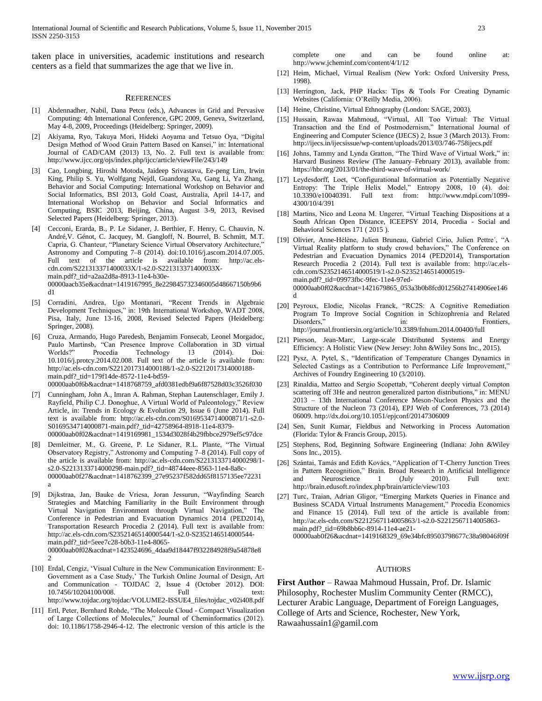taken place in universities, academic institutions and research centers as a field that summarizes the age that we live in.

#### **REFERENCES**

- [1] Abdennadher, Nabil, Dana Petcu (eds.), Advances in Grid and Pervasive Computing: 4th International Conference, GPC 2009, Geneva, Switzerland, May 4-8, 2009, Proceedings (Heidelberg: Springer, 2009).
- [2] Akiyama, Ryo, Takuya Mori, Hideki Aoyama and Tetsuo Oya, "Digital Design Method of Wood Grain Pattern Based on Kansei," in: International Journal of CAD/CAM (2013) 13, No. 2. Full text is available from: http://www.ijcc.org/ojs/index.php/ijcc/article/viewFile/243/149
- [3] Cao, Longbing, Hiroshi Motoda, Jaideep Srivastava, Ee-peng Lim, Irwin King, Philip S. Yu, Wolfgang Nejdl, Guandong Xu, Gang Li, Ya Zhang, Behavior and Social Computing: International Workshop on Behavior and Social Informatics, BSI 2013, Gold Coast, Australia, April 14-17, and International Workshop on Behavior and Social Informatics and Computing, BSIC 2013, Beijing, China, August 3-9, 2013, Revised Selected Papers (Heidelberg: Springer, 2013).
- [4] Cecconi, Erarda, B., P. Le Sidaner, J. Berthier, F. Henry, C. Chauvin, N. André,V. Génot, C. Jacquey, M. Gangloff, N. Bourrel, B. Schmitt, M.T. Capria, G. Chanteur, "Planetary Science Virtual Observatory Architecture," Astronomy and Computing 7–8 (2014). doi:10.1016/j.ascom.2014.07.005. Full text of the article is available from: http://ac.elscdn.com/S221313371400033X/1-s2.0-S221313371400033Xmain.pdf?\_tid=a2aa2d8a-8913-11e4-b30e-00000aacb35e&acdnat=1419167995\_8e229845732346005d48667150b9b6 d1
- [5] Corradini, Andrea, Ugo Montanari, "Recent Trends in Algebraic Development Techniques," in: 19th International Workshop, WADT 2008, Pisa, Italy, June 13-16, 2008, Revised Selected Papers (Heidelberg: Springer, 2008).
- [6] Cruza, Armando, Hugo Paredesb, Benjamim Fonsecab, Leonel Morgadoc, Paulo Martinsb, "Can Presence Improve Collaboration in 3D virtual Worlds?" Procedia Technology 13 (2014). Doi: 10.1016/j.protcy.2014.02.008. Full text of the article is available from: http://ac.els-cdn.com/S2212017314000188/1-s2.0-S2212017314000188 main.pdf?\_tid=179f14de-8572-11e4-bd59- 00000aab0f6b&acdnat=1418768759\_afd0381edbf9a6f87528d03c3526f030
- [7] Cunningham, John A., Imran A. Rahman, Stephan Lautenschlager, Emily J. Rayfield, Philip C.J. Donoghue, A Virtual World of Paleontology," Review Article, in: Trends in Ecology & Evolution 29, Issue 6 (June 2014). Full text is available from: http://ac.els-cdn.com/S0169534714000871/1-s2.0- S0169534714000871-main.pdf?\_tid=42758964-8918-11e4-8379- 00000aab0f02&acdnat=1419169981\_1534d3028f4b29fbbce2979ef5c97dce
- [8] Demleitner, M., G. Greene, P. Le Sidaner, R.L. Plante, "The Virtual Observatory Registry," Astronomy and Computing 7–8 (2014). Full copy of the article is available from: http://ac.els-cdn.com/S2213133714000298/1 s2.0-S2213133714000298-main.pdf?\_tid=48744eee-8563-11e4-8a8c-00000aab0f27&acdnat=1418762399\_27e95237f582dd65f8157135ee72231 a
- [9] Dijkstraa, Jan, Bauke de Vriesa, Joran Jessurun, "Wayfinding Search Strategies and Matching Familiarity in the Built Environment through Virtual Navigation Environment through Virtual Navigation," The Conference in Pedestrian and Evacuation Dynamics 2014 (PED2014), Transportation Research Procedia 2 (2014). Full text is available from: http://ac.els-cdn.com/S2352146514000544/1-s2.0-S2352146514000544 main.pdf?\_tid=5eee7c28-b0b3-11e4-8065- 00000aab0f02&acdnat=1423524696\_4daa9d18447f932284928f9a54878e8
- 2 [10] Erdal, Cengiz, 'Visual Culture in the New Communication Environment: E-Government as a Case Study,' The Turkish Online Journal of Design, Art and Communication - TOJDAC 2, Issue 4 (October 2012). DOI:
- 10.7456/10204100/008. Full Full text: http://www.tojdac.org/tojdac/VOLUME2-ISSUE4\_files/tojdac\_v02i408.pdf
- [11] Ertl, Peter, Bernhard Rohde, "The Molecule Cloud Compact Visualization of Large Collections of Molecules," Journal of Cheminformatics (2012). doi: 10.1186/1758-2946-4-12. The electronic version of this article is the

complete one and can be found online at: http://www.jcheminf.com/content/4/1/12

- [12] Heim, Michael, Virtual Realism (New York: Oxford University Press, 1998).
- [13] Herrington, Jack, PHP Hacks: Tips & Tools For Creating Dynamic Websites (California: O'Reilly Media, 2006).
- [14] Heine, Christine, Virtual Ethnography (London: SAGE, 2003).
- [15] Hussain, Rawaa Mahmoud, "Virtual, All Too Virtual: The Virtual Transaction and the End of Postmodernism," International Journal of Engineering and Computer Science (IJECS) 2, Issue 3 (March 2013). From: http://ijecs.in/ijecsissue/wp-content/uploads/2013/03/746-758ijecs.pdf
- [16] Johns, Tammy and Lynda Gratton, "The Third Wave of Virtual Work," in: Harvard Business Review (The January–February 2013), available from: https://hbr.org/2013/01/the-third-wave-of-virtual-work/
- [17] Leydesdorff, Loet, "Configurational Information as Potentially Negative Entropy: The Triple Helix Model," Entropy 2008, 10 (4). doi: 10.3390/e10040391. Full text from: http://www.mdpi.com/1099- 4300/10/4/391
- [18] Martins, Nico and Leona M. Ungerer, "Virtual Teaching Dispositions at a South African Open Distance, ICEEPSY 2014, Procedia - Social and Behavioral Sciences 171 ( 2015 ).
- [19] Olivier, Anne-Hélène, Julien Bruneau, Gabriel Cirio, Julien Pettre´, "A Virtual Reality platform to study crowd behaviors," The Conference on Pedestrian and Evacuation Dynamics 2014 (PED2014), Transportation Research Procedia 2 (2014). Full text is available from: http://ac.elscdn.com/S2352146514000519/1-s2.0-S2352146514000519 main.pdf?\_tid=09973fbc-9fec-11e4-97ed-00000aab0f02&acdnat=1421679865\_053a3b0b8fcd01256b27414906ee146 d
- [20] Peyroux, Elodie, Nicolas Franck, "RC2S: A Cognitive Remediation Program To Improve Social Cognition in Schizophrenia and Related Disorders," in: Frontiers, http://journal.frontiersin.org/article/10.3389/fnhum.2014.00400/full
- [21] Pierson, Jean-Marc, Large-scale Distributed Systems and Energy Efficiency: A Holistic View (New Jersey: John &Wiley Sons Inc., 2015).
- [22] Pysz, A. Pytel, S., "Identification of Temperature Changes Dynamics in Selected Castings as a Contribution to Performance Life Improvement," Archives of Foundry Engineering 10 (3/2010).
- [23] Rinaldia, Matteo and Sergio Scopettab, "Coherent deeply virtual Compton scattering off 3He and neutron generalized parton distributions," in: MENU 2013 – 13th International Conference Meson-Nucleon Physics and the Structure of the Nucleon 73 (2014), EPJ Web of Conferences, 73 (2014) 06009. http://dx.doi.org/10.1051/epjconf/20147306009
- [24] Sen, Sunit Kumar, Fieldbus and Networking in Process Automation (Florida: Tylor & Francis Group, 2015).
- [25] Stephens, Rod, Beginning Software Engineering (Indiana: John &Wiley Sons Inc., 2015).
- [26] Szántai, Tamás and Edith Kovács, "Application of T-Cherry Junction Trees in Pattern Recognition," Brain. Broad Research in Artificial Intelligence and Neuroscience 1 (July 2010). Full text: http://brain.edusoft.ro/index.php/brain/article/view/103
- [27] Turc, Traian, Adrian Gligor, "Emerging Markets Queries in Finance and Business SCADA Virtual Instruments Management," Procedia Economics and Finance 15 (2014). Full text of the article is available from: http://ac.els-cdn.com/S2212567114005863/1-s2.0-S2212567114005863 main.pdf?\_tid=69b8bb6c-8914-11e4-ae21- 00000aab0f26&acdnat=1419168329\_69e34bfc89503798677c38a98046f09f

#### AUTHORS

**First Author** – Rawaa Mahmoud Hussain, Prof. Dr. Islamic Philosophy, Rochester Muslim Community Center (RMCC), Lecturer Arabic Language, Department of Foreign Languages, College of Arts and Science, Rochester, New York, Rawaahussain1@gamil.com